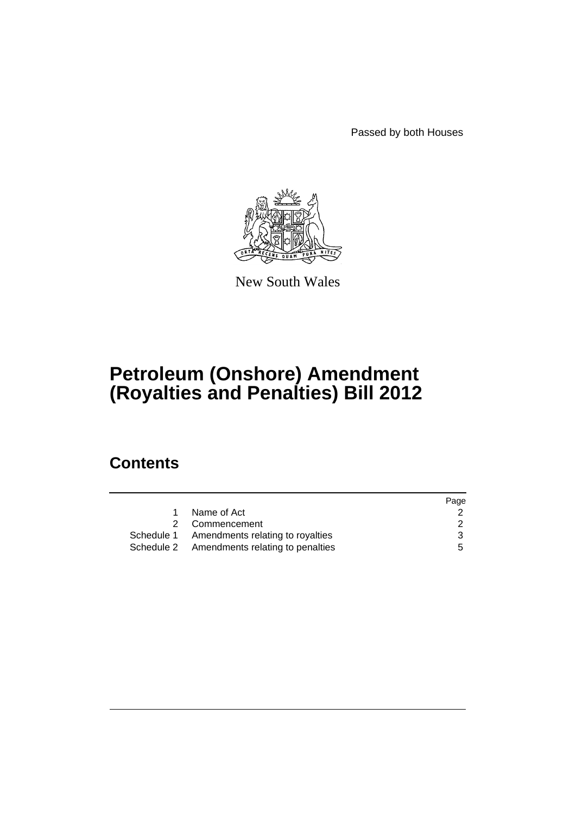Passed by both Houses



New South Wales

# **Petroleum (Onshore) Amendment (Royalties and Penalties) Bill 2012**

# **Contents**

|                                             | Page          |
|---------------------------------------------|---------------|
| Name of Act                                 |               |
| 2 Commencement                              | $\mathcal{P}$ |
| Schedule 1 Amendments relating to royalties | 3             |
| Schedule 2 Amendments relating to penalties | 5.            |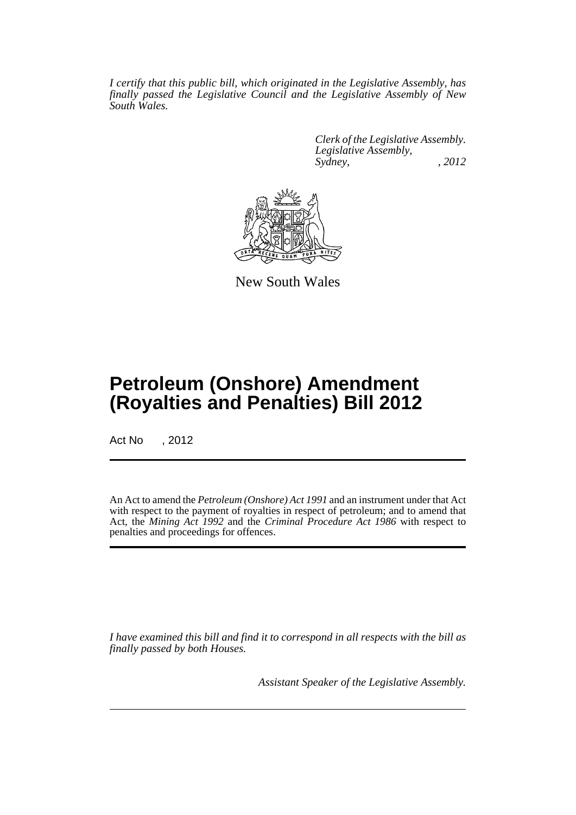*I certify that this public bill, which originated in the Legislative Assembly, has finally passed the Legislative Council and the Legislative Assembly of New South Wales.*

> *Clerk of the Legislative Assembly. Legislative Assembly, Sydney, , 2012*



New South Wales

# **Petroleum (Onshore) Amendment (Royalties and Penalties) Bill 2012**

Act No , 2012

An Act to amend the *Petroleum (Onshore) Act 1991* and an instrument under that Act with respect to the payment of royalties in respect of petroleum; and to amend that Act, the *Mining Act 1992* and the *Criminal Procedure Act 1986* with respect to penalties and proceedings for offences.

*I have examined this bill and find it to correspond in all respects with the bill as finally passed by both Houses.*

*Assistant Speaker of the Legislative Assembly.*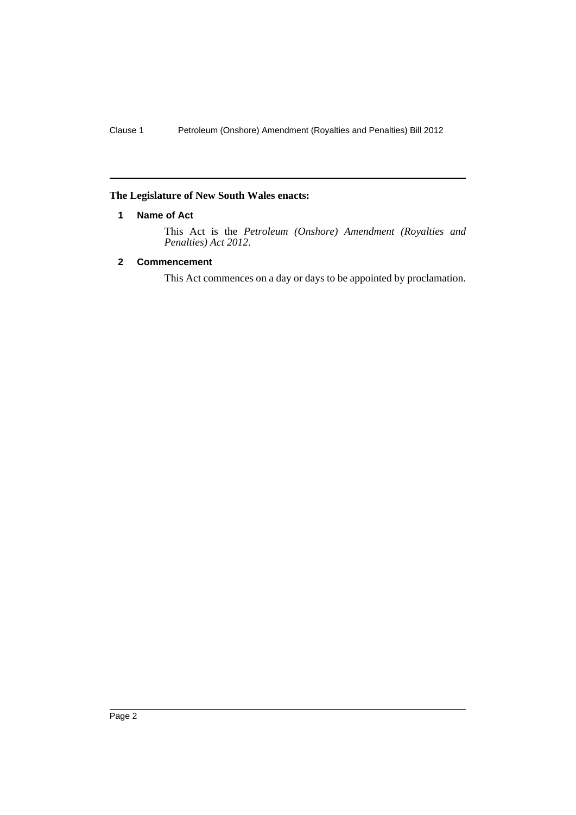#### <span id="page-3-0"></span>**The Legislature of New South Wales enacts:**

#### **1 Name of Act**

This Act is the *Petroleum (Onshore) Amendment (Royalties and Penalties) Act 2012*.

# <span id="page-3-1"></span>**2 Commencement**

This Act commences on a day or days to be appointed by proclamation.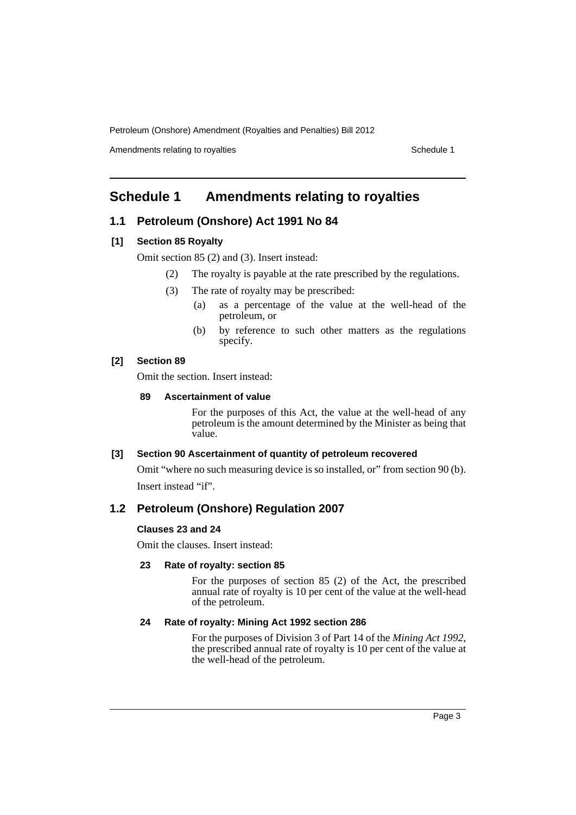Amendments relating to royalties Schedule 1

# <span id="page-4-0"></span>**Schedule 1 Amendments relating to royalties**

# **1.1 Petroleum (Onshore) Act 1991 No 84**

#### **[1] Section 85 Royalty**

Omit section 85 (2) and (3). Insert instead:

- (2) The royalty is payable at the rate prescribed by the regulations.
- (3) The rate of royalty may be prescribed:
	- (a) as a percentage of the value at the well-head of the petroleum, or
	- (b) by reference to such other matters as the regulations specify.

#### **[2] Section 89**

Omit the section. Insert instead:

#### **89 Ascertainment of value**

For the purposes of this Act, the value at the well-head of any petroleum is the amount determined by the Minister as being that value.

#### **[3] Section 90 Ascertainment of quantity of petroleum recovered**

Omit "where no such measuring device is so installed, or" from section 90 (b). Insert instead "if".

# **1.2 Petroleum (Onshore) Regulation 2007**

#### **Clauses 23 and 24**

Omit the clauses. Insert instead:

#### **23 Rate of royalty: section 85**

For the purposes of section 85 (2) of the Act, the prescribed annual rate of royalty is 10 per cent of the value at the well-head of the petroleum.

#### **24 Rate of royalty: Mining Act 1992 section 286**

For the purposes of Division 3 of Part 14 of the *Mining Act 1992*, the prescribed annual rate of royalty is 10 per cent of the value at the well-head of the petroleum.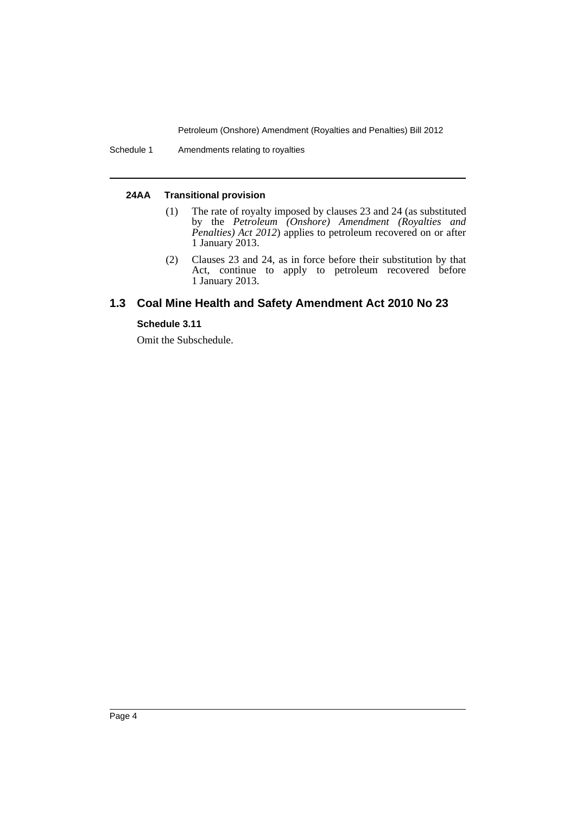Schedule 1 Amendments relating to royalties

#### **24AA Transitional provision**

- (1) The rate of royalty imposed by clauses 23 and 24 (as substituted by the *Petroleum (Onshore) Amendment (Royalties and Penalties) Act 2012*) applies to petroleum recovered on or after 1 January 2013.
- (2) Clauses 23 and 24, as in force before their substitution by that Act, continue to apply to petroleum recovered before 1 January 2013.

# **1.3 Coal Mine Health and Safety Amendment Act 2010 No 23**

#### **Schedule 3.11**

Omit the Subschedule.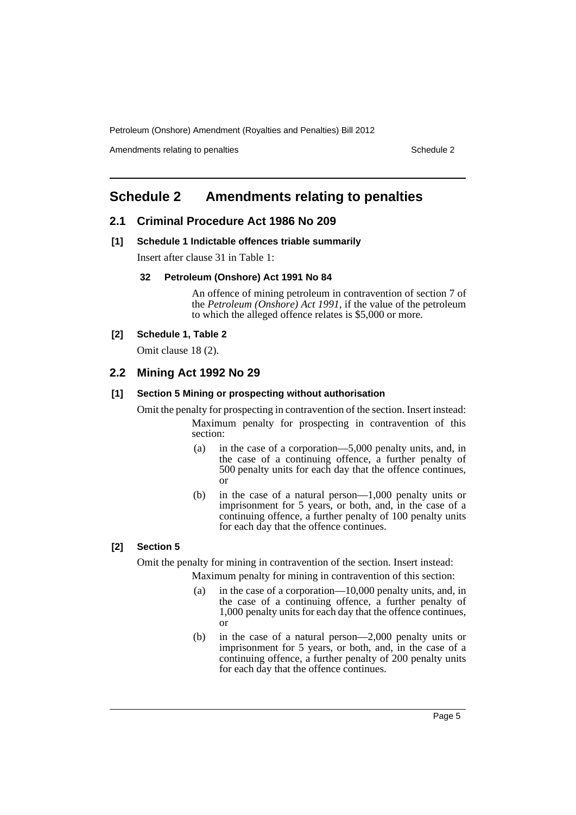Amendments relating to penalties Schedule 2 and Schedule 2 and Schedule 2 and Schedule 2 and Schedule 2 and Schedule 2 and Schedule 2 and Schedule 2 and Schedule 2 and Schedule 2 and Schedule 2 and Schedule 2 and Schedule

# <span id="page-6-0"></span>**Schedule 2 Amendments relating to penalties**

# **2.1 Criminal Procedure Act 1986 No 209**

**[1] Schedule 1 Indictable offences triable summarily**

Insert after clause 31 in Table 1:

#### **32 Petroleum (Onshore) Act 1991 No 84**

An offence of mining petroleum in contravention of section 7 of the *Petroleum (Onshore) Act 1991*, if the value of the petroleum to which the alleged offence relates is \$5,000 or more.

# **[2] Schedule 1, Table 2**

Omit clause 18 (2).

# **2.2 Mining Act 1992 No 29**

#### **[1] Section 5 Mining or prospecting without authorisation**

Omit the penalty for prospecting in contravention of the section. Insert instead: Maximum penalty for prospecting in contravention of this section:

- (a) in the case of a corporation—5,000 penalty units, and, in the case of a continuing offence, a further penalty of 500 penalty units for each day that the offence continues, or
- (b) in the case of a natural person—1,000 penalty units or imprisonment for 5 years, or both, and, in the case of a continuing offence, a further penalty of 100 penalty units for each day that the offence continues.

# **[2] Section 5**

Omit the penalty for mining in contravention of the section. Insert instead:

Maximum penalty for mining in contravention of this section:

- (a) in the case of a corporation—10,000 penalty units, and, in the case of a continuing offence, a further penalty of 1,000 penalty units for each day that the offence continues, or
- (b) in the case of a natural person—2,000 penalty units or imprisonment for 5 years, or both, and, in the case of a continuing offence, a further penalty of 200 penalty units for each day that the offence continues.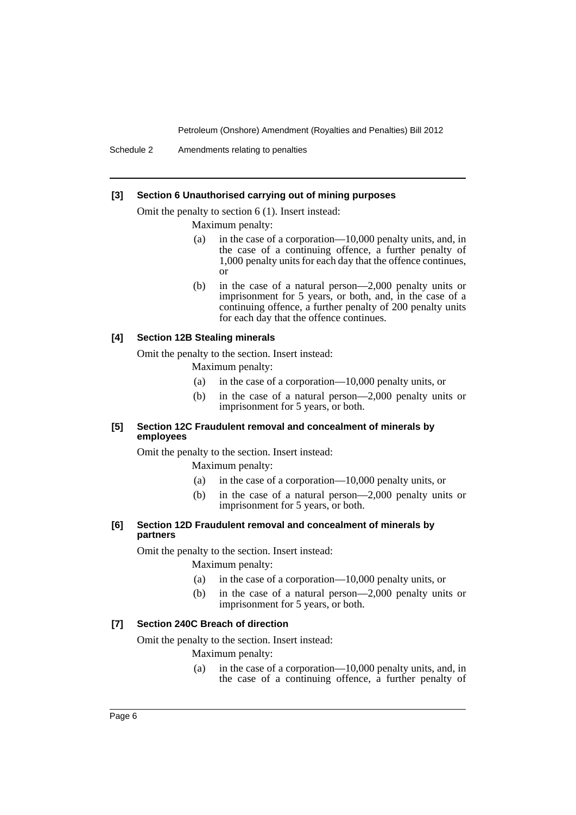Schedule 2 Amendments relating to penalties

#### **[3] Section 6 Unauthorised carrying out of mining purposes**

Omit the penalty to section 6 (1). Insert instead:

Maximum penalty:

- (a) in the case of a corporation—10,000 penalty units, and, in the case of a continuing offence, a further penalty of 1,000 penalty units for each day that the offence continues, or
- (b) in the case of a natural person—2,000 penalty units or imprisonment for 5 years, or both, and, in the case of a continuing offence, a further penalty of 200 penalty units for each day that the offence continues.

#### **[4] Section 12B Stealing minerals**

Omit the penalty to the section. Insert instead:

Maximum penalty:

- (a) in the case of a corporation—10,000 penalty units, or
- (b) in the case of a natural person—2,000 penalty units or imprisonment for 5 years, or both.

#### **[5] Section 12C Fraudulent removal and concealment of minerals by employees**

Omit the penalty to the section. Insert instead:

Maximum penalty:

- (a) in the case of a corporation—10,000 penalty units, or
- (b) in the case of a natural person—2,000 penalty units or imprisonment for 5 years, or both.

#### **[6] Section 12D Fraudulent removal and concealment of minerals by partners**

Omit the penalty to the section. Insert instead:

Maximum penalty:

- (a) in the case of a corporation—10,000 penalty units, or
- (b) in the case of a natural person—2,000 penalty units or imprisonment for 5 years, or both.

#### **[7] Section 240C Breach of direction**

Omit the penalty to the section. Insert instead:

Maximum penalty:

(a) in the case of a corporation—10,000 penalty units, and, in the case of a continuing offence, a further penalty of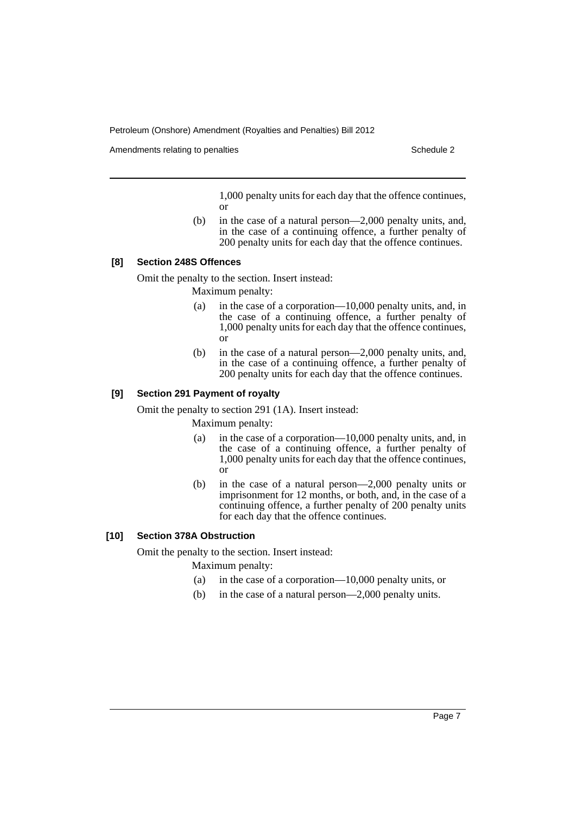Amendments relating to penalties Schedule 2 and Schedule 2 and Schedule 2 and Schedule 2 and Schedule 2 and Schedule 2 and Schedule 2 and Schedule 2 and Schedule 2 and Schedule 2 and Schedule 2 and Schedule 2 and Schedule

1,000 penalty units for each day that the offence continues, or

(b) in the case of a natural person—2,000 penalty units, and, in the case of a continuing offence, a further penalty of 200 penalty units for each day that the offence continues.

#### **[8] Section 248S Offences**

Omit the penalty to the section. Insert instead:

Maximum penalty:

- (a) in the case of a corporation—10,000 penalty units, and, in the case of a continuing offence, a further penalty of 1,000 penalty units for each day that the offence continues, or
- (b) in the case of a natural person—2,000 penalty units, and, in the case of a continuing offence, a further penalty of 200 penalty units for each day that the offence continues.

#### **[9] Section 291 Payment of royalty**

Omit the penalty to section 291 (1A). Insert instead:

Maximum penalty:

- (a) in the case of a corporation—10,000 penalty units, and, in the case of a continuing offence, a further penalty of 1,000 penalty units for each day that the offence continues, or
- (b) in the case of a natural person—2,000 penalty units or imprisonment for 12 months, or both, and, in the case of a continuing offence, a further penalty of 200 penalty units for each day that the offence continues.

# **[10] Section 378A Obstruction**

Omit the penalty to the section. Insert instead:

Maximum penalty:

- (a) in the case of a corporation—10,000 penalty units, or
- (b) in the case of a natural person—2,000 penalty units.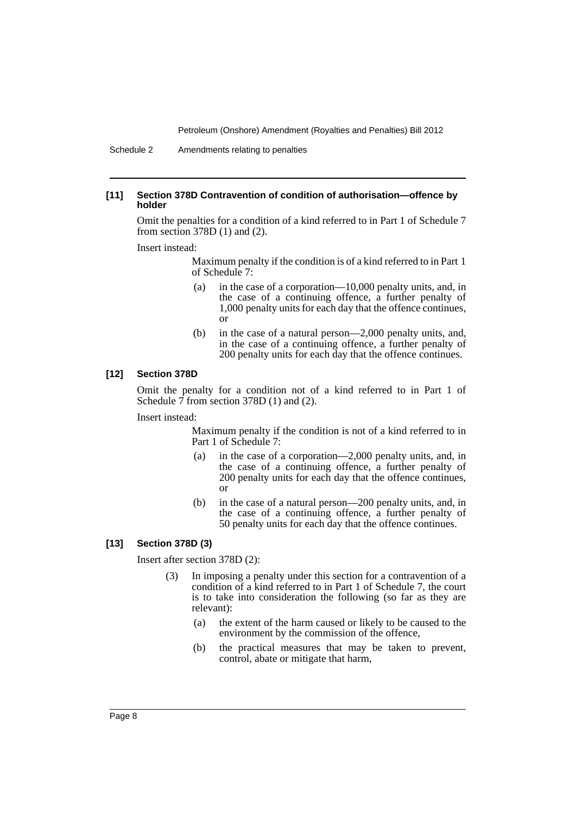#### **[11] Section 378D Contravention of condition of authorisation—offence by holder**

Omit the penalties for a condition of a kind referred to in Part 1 of Schedule 7 from section 378D (1) and (2).

Insert instead:

Maximum penalty if the condition is of a kind referred to in Part 1 of Schedule 7:

- (a) in the case of a corporation—10,000 penalty units, and, in the case of a continuing offence, a further penalty of 1,000 penalty units for each day that the offence continues, or
- (b) in the case of a natural person—2,000 penalty units, and, in the case of a continuing offence, a further penalty of 200 penalty units for each day that the offence continues.

#### **[12] Section 378D**

Omit the penalty for a condition not of a kind referred to in Part 1 of Schedule  $\overline{7}$  from section 378D (1) and (2).

#### Insert instead:

Maximum penalty if the condition is not of a kind referred to in Part 1 of Schedule 7:

- (a) in the case of a corporation—2,000 penalty units, and, in the case of a continuing offence, a further penalty of 200 penalty units for each day that the offence continues, or
- (b) in the case of a natural person—200 penalty units, and, in the case of a continuing offence, a further penalty of 50 penalty units for each day that the offence continues.

#### **[13] Section 378D (3)**

Insert after section 378D (2):

- (3) In imposing a penalty under this section for a contravention of a condition of a kind referred to in Part 1 of Schedule 7, the court is to take into consideration the following (so far as they are relevant):
	- (a) the extent of the harm caused or likely to be caused to the environment by the commission of the offence,
	- (b) the practical measures that may be taken to prevent, control, abate or mitigate that harm,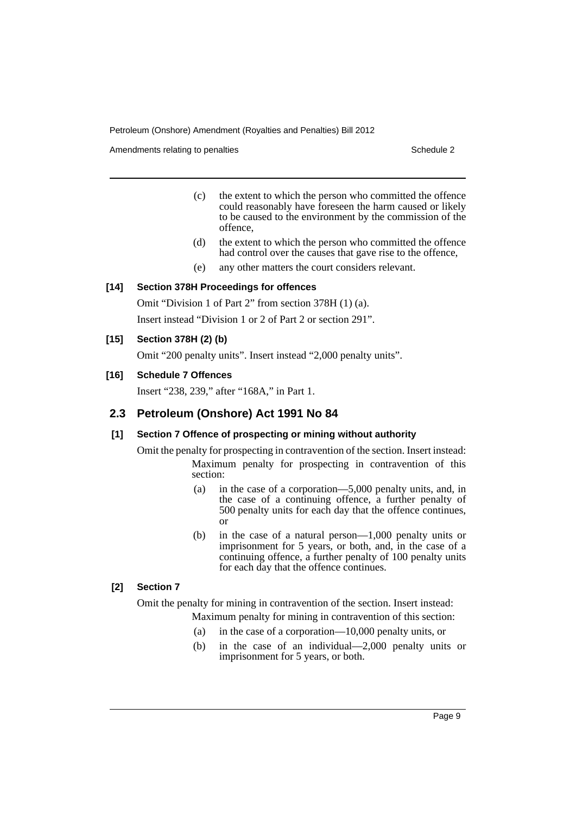Amendments relating to penalties Schedule 2 and the Schedule 2 schedule 2 and 5 schedule 2

- (c) the extent to which the person who committed the offence could reasonably have foreseen the harm caused or likely to be caused to the environment by the commission of the offence,
- (d) the extent to which the person who committed the offence had control over the causes that gave rise to the offence,
- (e) any other matters the court considers relevant.

# **[14] Section 378H Proceedings for offences**

Omit "Division 1 of Part 2" from section 378H (1) (a). Insert instead "Division 1 or 2 of Part 2 or section 291".

# **[15] Section 378H (2) (b)**

Omit "200 penalty units". Insert instead "2,000 penalty units".

# **[16] Schedule 7 Offences**

Insert "238, 239," after "168A," in Part 1.

# **2.3 Petroleum (Onshore) Act 1991 No 84**

# **[1] Section 7 Offence of prospecting or mining without authority**

Omit the penalty for prospecting in contravention of the section. Insert instead: Maximum penalty for prospecting in contravention of this section:

- (a) in the case of a corporation—5,000 penalty units, and, in the case of a continuing offence, a further penalty of 500 penalty units for each day that the offence continues, or
- (b) in the case of a natural person—1,000 penalty units or imprisonment for 5 years, or both, and, in the case of a continuing offence, a further penalty of 100 penalty units for each day that the offence continues.

# **[2] Section 7**

Omit the penalty for mining in contravention of the section. Insert instead:

Maximum penalty for mining in contravention of this section:

- (a) in the case of a corporation—10,000 penalty units, or
- (b) in the case of an individual—2,000 penalty units or imprisonment for 5 years, or both.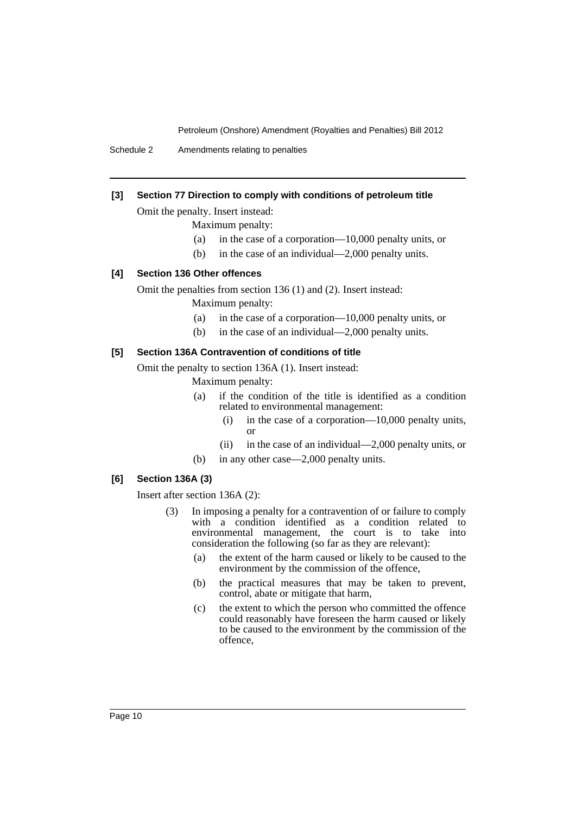Schedule 2 Amendments relating to penalties

# **[3] Section 77 Direction to comply with conditions of petroleum title**

Omit the penalty. Insert instead:

Maximum penalty:

- (a) in the case of a corporation—10,000 penalty units, or
- (b) in the case of an individual—2,000 penalty units.

#### **[4] Section 136 Other offences**

Omit the penalties from section 136 (1) and (2). Insert instead:

Maximum penalty:

- (a) in the case of a corporation—10,000 penalty units, or
- (b) in the case of an individual—2,000 penalty units.

#### **[5] Section 136A Contravention of conditions of title**

Omit the penalty to section 136A (1). Insert instead:

Maximum penalty:

- (a) if the condition of the title is identified as a condition related to environmental management:
	- (i) in the case of a corporation—10,000 penalty units, or
	- (ii) in the case of an individual—2,000 penalty units, or
- (b) in any other case—2,000 penalty units.

# **[6] Section 136A (3)**

Insert after section 136A (2):

- (3) In imposing a penalty for a contravention of or failure to comply with a condition identified as a condition related to environmental management, the court is to take into consideration the following (so far as they are relevant):
	- (a) the extent of the harm caused or likely to be caused to the environment by the commission of the offence,
	- (b) the practical measures that may be taken to prevent, control, abate or mitigate that harm,
	- (c) the extent to which the person who committed the offence could reasonably have foreseen the harm caused or likely to be caused to the environment by the commission of the offence,